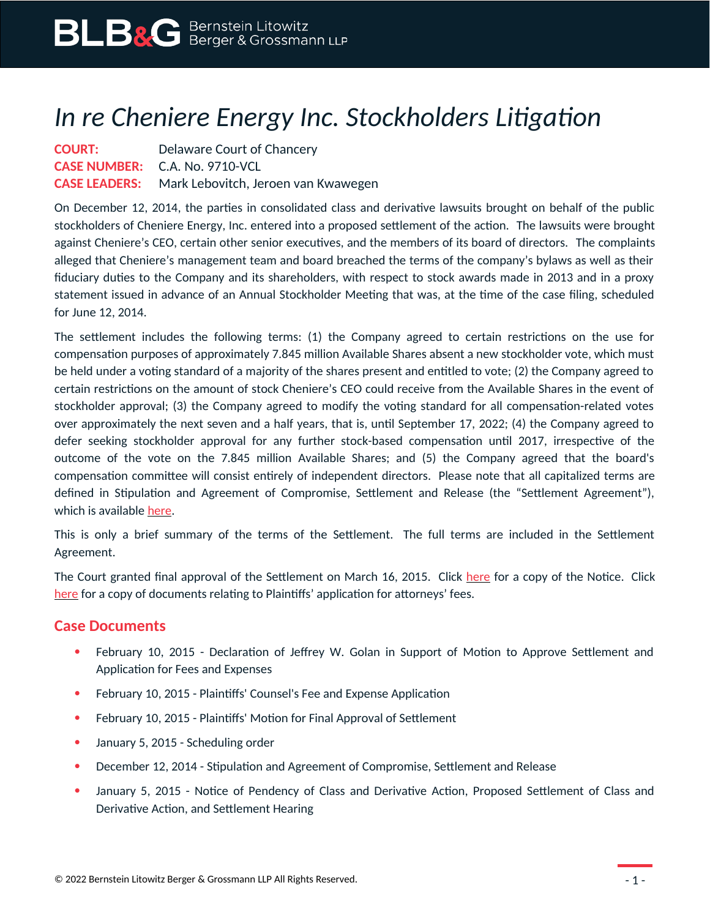## *In re Cheniere Energy Inc. Stockholders Litigation*

## **COURT:** Delaware Court of Chancery **CASE NUMBER:** C.A. No. 9710-VCL **CASE LEADERS:** Mark Lebovitch, Jeroen van Kwawegen

On December 12, 2014, the parties in consolidated class and derivative lawsuits brought on behalf of the public stockholders of Cheniere Energy, Inc. entered into a proposed settlement of the action. The lawsuits were brought against Cheniere's CEO, certain other senior executives, and the members of its board of directors. The complaints alleged that Cheniere's management team and board breached the terms of the company's bylaws as well as their fiduciary duties to the Company and its shareholders, with respect to stock awards made in 2013 and in a proxy statement issued in advance of an Annual Stockholder Meeting that was, at the time of the case filing, scheduled for June 12, 2014.

The settlement includes the following terms: (1) the Company agreed to certain restrictions on the use for compensation purposes of approximately 7.845 million Available Shares absent a new stockholder vote, which must be held under a voting standard of a majority of the shares present and entitled to vote; (2) the Company agreed to certain restrictions on the amount of stock Cheniere's CEO could receive from the Available Shares in the event of stockholder approval; (3) the Company agreed to modify the voting standard for all compensation-related votes over approximately the next seven and a half years, that is, until September 17, 2022; (4) the Company agreed to defer seeking stockholder approval for any further stock-based compensation until 2017, irrespective of the outcome of the vote on the 7.845 million Available Shares; and (5) the Company agreed that the board's compensation committee will consist entirely of independent directors. Please note that all capitalized terms are defined in Stipulation and Agreement of Compromise, Settlement and Release (the "Settlement Agreement"), which is available [here](https://www.blbglaw.com/cases/00261/_res/id=Attachments/index=4/BLBG-#856792-v1-2014-12-12_Stipulation_and_Agreement_of_Compromise__Settlement_and_Release_(with_Exhibits_A-C).PDF).

This is only a brief summary of the terms of the Settlement. The full terms are included in the Settlement Agreement.

The Court granted final approval of the Settlement on March 16, 2015. Click [here](https://www.blbglaw.com/cases/00261/_res/id=Attachments/index=5/CHENIERE%20-%20NOTICE.PDF) for a copy of the Notice. Click [here](https://www.blbglaw.com/cases/00261/_res/id=Attachments/index=6/2015-02-10%20Pls%20MOL%20ISO%20Final%20Approval,%20Cert.%20of%20Class%20and%20Fees%20and%20Expen....pdf) for a copy of documents relating to Plaintiffs' application for attorneys' fees.

## **Case Documents**

- February 10, 2015 Declaration of Jeffrey W. Golan in Support of Motion to Approve Settlement and Application for Fees and Expenses
- February 10, 2015 Plaintiffs' Counsel's Fee and Expense Application
- February 10, 2015 Plaintiffs' Motion for Final Approval of Settlement
- January 5, 2015 Scheduling order
- December 12, 2014 Stipulation and Agreement of Compromise, Settlement and Release
- January 5, 2015 Notice of Pendency of Class and Derivative Action, Proposed Settlement of Class and Derivative Action, and Settlement Hearing